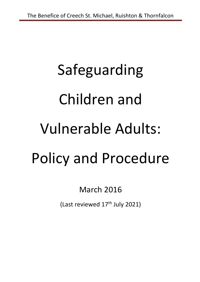# Safeguarding Children and Vulnerable Adults: Policy and Procedure

March 2016

(Last reviewed  $17<sup>th</sup>$  July 2021)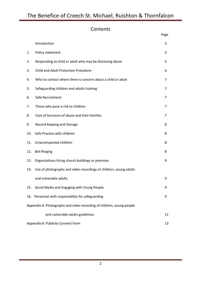## The Benefice of Creech St. Michael, Ruishton & Thornfalcon

## Contents

|                                    |                                                                       | Page   |
|------------------------------------|-----------------------------------------------------------------------|--------|
|                                    | Introduction                                                          | 3      |
| 1.                                 | Policy statement                                                      | 3      |
| 2.                                 | Responding to child or adult who may be disclosing abuse              | 5      |
| 3.                                 | Child and Adult Protection Procedure                                  | 6      |
| 4.                                 | Who to contact where there is concern about a child or adult          | 7      |
| 5.                                 | Safeguarding children and adults training                             | 7      |
| 6.                                 | Safe Recruitment                                                      | 7      |
| 7.                                 | Those who pose a risk to children                                     | 7      |
| 8.                                 | Care of Survivors of abuse and their families                         | 7      |
| 9.                                 | Record Keeping and Storage                                            | 8      |
| 10.                                | Safe Practice with children                                           | 8      |
| 11.                                | Unaccompanied children                                                | 8      |
| 12.                                | <b>Bell Ringing</b>                                                   | 8      |
| 13.                                | Organizations hiring church buildings or premises                     | 9      |
| 14.                                | Use of photographs and video recordings of children, young adults     |        |
|                                    | and vulnerable adults                                                 | 9      |
| 15.                                | Social Media and Engaging with Young People                           | 9      |
|                                    | 16. Personnel with responsibility for safeguarding                    | 9      |
|                                    | Appendix A: Photographs and video recording of children, young people |        |
|                                    | and vulnerable adults guidelines                                      | $11\,$ |
| Appendix B: Publicity Consent Form |                                                                       |        |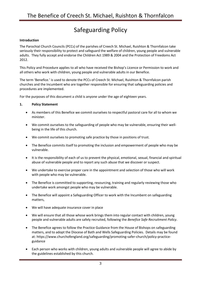## Safeguarding Policy

#### **Introduction**

The Parochial Church Councils (PCCs) of the parishes of Creech St. Michael, Ruishton & Thornfalcon take seriously their responsibility to protect and safeguard the welfare of children, young people and vulnerable adults. They fully accept and endorse the Children Act 1989 & 2004 and the Protection of Freedoms Act 2012.

This Policy and Procedure applies to all who have received the Bishop's Licence or Permission to work and all others who work with children, young people and vulnerable adults in our Benefice.

The term 'Benefice.' is used to denote the PCCs of Creech St. Michael, Ruishton & Thornfalcon parish churches and the Incumbent who are together responsible for ensuring that safeguarding policies and procedures are implemented.

For the purposes of this document a child is anyone under the age of eighteen years.

#### **1. Policy Statement**

- As members of this Benefice we commit ourselves to respectful pastoral care for all to whom we minister.
- We commit ourselves to the safeguarding of people who may be vulnerable, ensuring their wellbeing in the life of this church.
- We commit ourselves to promoting safe practice by those in positions of trust.
- The Benefice commits itself to promoting the inclusion and empowerment of people who may be vulnerable.
- It is the responsibility of each of us to prevent the physical, emotional, sexual, financial and spiritual abuse of vulnerable people and to report any such abuse that we discover or suspect.
- We undertake to exercise proper care in the appointment and selection of those who will work with people who may be vulnerable.
- The Benefice is committed to supporting, resourcing, training and regularly reviewing those who undertake work amongst people who may be vulnerable.
- The Benefice will appoint a Safeguarding Officer to work with the Incumbent on safeguarding matters,
- We will have adequate insurance cover in place
- We will ensure that all those whose work brings them into regular contact with children, young people and vulnerable adults are safely recruited, following the *Benefice Safe Recruitment Policy*.
- The Benefice agrees to follow the Practice Guidance from the House of Bishops on safeguarding matters, and to adopt the Diocese of Bath and Wells Safeguarding Policies. Details may be found at: https://www.churchofengland.org/safeguarding/promoting-safer-church/policy-practiceguidance
- Each person who works with children, young adults and vulnerable people will agree to abide by the guidelines established by this church.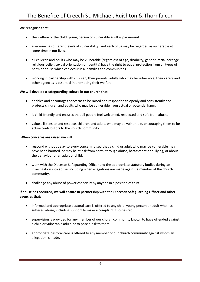#### **We recognise that:**

- the welfare of the child, young person or vulnerable adult is paramount.
- everyone has different levels of vulnerability, and each of us may be regarded as vulnerable at some time in our lives.
- all children and adults who may be vulnerable (regardless of age, disability, gender, racial heritage, religious belief, sexual orientation or identity) have the right to equal protection from all types of harm or abuse which can occur in all families and communities.
- working in partnership with children, their parents, adults who may be vulnerable, their carers and other agencies is essential in promoting their welfare.

#### **We will develop a safeguarding culture in our church that:**

- enables and encourages concerns to be raised and responded to openly and consistently and protects children and adults who may be vulnerable from actual or potential harm.
- is child-friendly and ensures that all people feel welcomed, respected and safe from abuse.
- values, listens to and respects children and adults who may be vulnerable, encouraging them to be active contributors to the church community.

#### **When concerns are raised we will:**

.

- respond without delay to every concern raised that a child or adult who may be vulnerable may have been harmed, or may be at risk from harm, through abuse, harassment or bullying; or about the behaviour of an adult or child.
- work with the Diocesan Safeguarding Officer and the appropriate statutory bodies during an investigation into abuse, including when allegations are made against a member of the church community.
- challenge any abuse of power especially by anyone in a position of trust.

#### **If abuse has occurred, we will ensure in partnership with the Diocesan Safeguarding Officer and other agencies that:**

- informed and appropriate pastoral care is offered to any child, young person or adult who has suffered abuse, including support to make a complaint if so desired.
- supervision is provided for any member of our church community known to have offended against a child or vulnerable adult, or to pose a risk to them.
- appropriate pastoral care is offered to any member of our church community against whom an allegation is made.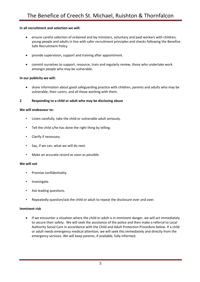#### **In all recruitment and selection we will:**

- ensure careful selection of ordained and lay ministers, voluntary and paid workers with children, young people and adults in line with safer recruitment principles and checks following the Benefice Safe Recruitment Policy.
- provide supervision, support and training after appointment.
- commit ourselves to support, resource, train and regularly review, those who undertake work amongst people who may be vulnerable.

#### **In our publicity we will:**

• share information about good safeguarding practice with children, parents and adults who may be vulnerable, their carers, and all those working with them.

#### **2 Responding to a child or adult who may be disclosing abuse**

#### **We will endeavour to:**

- Listen carefully, take the child or vulnerable adult seriously.
- Tell the child s/he has done the right thing by telling.
- Clarify if necessary.
- Say, if we can, what we will do next.
- Make an accurate record as soon as possible.

#### **We will not**

- Promise confidentiality.
- Investigate.
- Ask leading questions.
- Repeatedly question/ask the child or adult to repeat the disclosure over and over.

#### **Imminent risk**

• If we encounter a situation where the child or adult is in imminent danger, we will act immediately to secure their safety. We will seek the assistance of the police and then make a referral to Local Authority Social Care in accordance with the Child and Adult Protection Procedure below. If a child or adult needs emergency medical attention, we will seek this immediately and directly from the emergency services. We will keep parents, if available, fully informed.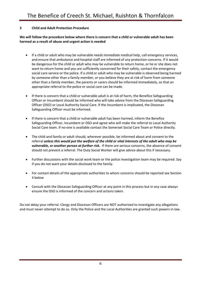#### **3 Child and Adult Protection Procedure**

#### **We will follow the procedure below where there is concern that a child or vulnerable adult has been harmed as a result of abuse and urgent action is needed**

- If a child or adult who may be vulnerable needs immediate medical help, call emergency services, and ensure that ambulance and hospital staff are informed of any protection concerns. If it would be dangerous for the child or adult who may be vulnerable to return home, or he or she does not want to return home and you are sufficiently concerned for their safety, contact the emergency social care service or the police. If a child or adult who may be vulnerable is observed being harmed by someone other than a family member, or you believe they are at risk of harm from someone other than a family member, the parents or carers should be informed immediately, so that an appropriate referral to the police or social care can be made.
- If there is concern that a child or vulnerable adult is at risk of harm, the Benefice Safeguarding Officer or Incumbent should be informed who will take advice from the Diocesan Safeguarding Officer (DSO) or Local Authority Social Care. If the incumbent is implicated, the Diocesan Safeguarding Officer must be informed.
- If there is concern that a child or vulnerable adult has been harmed, inform the Benefice Safeguarding Officer, Incumbent or DSO and agree who will make the referral to Local Authority Social Care team. If no-one is available contact the Somerset Social Care Team or Police directly.
- The child and family or adult should, wherever possible, be informed about and consent to the referral *unless this would put the welfare of the child or vital interests of the adult who may be vulnerable, or another person at further risk.* If there are serious concerns, the absence of consent should not prevent a referral. The Duty Social Worker will give advice about this if necessary.
- Further discussions with the social work team or the police investigation team may be required. Say if you do not want your details disclosed to the family.
- For contact details of the appropriate authorities to whom concerns should be reported see Section 4 below
- Consult with the Diocesan Safeguarding Officer at any point in this process but in any case always ensure the DSO is informed of the concern and actions taken.

Do not delay your referral. Clergy and Diocesan Officers are NOT authorised to investigate any allegations and must never attempt to do so. Only the Police and the Local Authorities are granted such powers in law.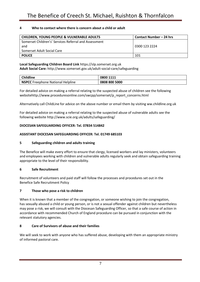#### **4 Who to contact where there is concern about a child or adult**

| <b>CHILDREN, YOUNG PEOPLE &amp; VULNERABLE ADULTS</b> | Contact Number – 24 hrs |
|-------------------------------------------------------|-------------------------|
| Somerset Children's' Services Referral and Assessment |                         |
| and                                                   | 0300 123 2224           |
| Somerset Adult Social Care                            |                         |
| <b>POLICE</b>                                         | 101                     |

### **Local Safeguarding Children Board Link** https://slp.somerset.org.uk

**Adult Social Care:** http://www.somerset.gov.uk/adult-social-care/safeguarding

| <b>Childline</b>                         | 0800 1111     |
|------------------------------------------|---------------|
| <b>NSPCC</b> Freephone National Helpline | 0808 800 5000 |

For detailed advice on making a referral relating to the suspected abuse of children see the following websitehttp://www.proceduresonline.com/swcpp/somerset/p\_report\_concerns.html

Alternatively call ChildLine for advice on the above number or email them by visiting ww.childline.org.uk

For detailed advice on making a referral relating to the suspected abuse of vulnerable adults see the following website http://www.scie.org.uk/adults/safeguarding/

#### **DIOCESAN SAFEGUARDING OFFICER: Tel. 07834 514842**

#### **ASSISTANT DIOCESAN SAFEGUARDING OFFICER: Tel. 01749 685103**

#### **5 Safeguarding children and adults training**

The Benefice will make every effort to ensure that clergy, licensed workers and lay ministers, volunteers and employees working with children and vulnerable adults regularly seek and obtain safeguarding training appropriate to the level of their responsibility.

#### **6 Safe Recruitment**

Recruitment of volunteers and paid staff will follow the processes and procedures set out in the Benefice Safe Recruitment Policy

#### **7 Those who pose a risk to children**

When it is known that a member of the congregation, or someone wishing to join the congregation, has sexually abused a child or young person, or is not a sexual offender against children but nevertheless may pose a risk, we will consult with the Diocesan Safeguarding Officer, so that a safe course of action in accordance with recommended Church of England procedure can be pursued in conjunction with the relevant statutory agencies.

#### **8 Care of Survivors of abuse and their families**

We will seek to work with anyone who has suffered abuse, developing with them an appropriate ministry of informed pastoral care.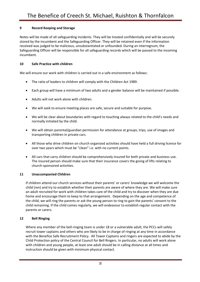#### **9 Record Keeping and Storage**

Notes will be made of all safeguarding incidents. They will be treated confidentially and will be securely stored by the incumbent and the Safeguarding Officer. They will be retained even if the information received was judged to be malicious, unsubstantiated or unfounded. During an interregnum, the Safeguarding Officer will be responsible for all safeguarding records which will be passed to the incoming incumbent.

#### **10 Safe Practice with children**

We will ensure our work with children is carried out in a safe environment as follows:

- The ratio of leaders to children will comply with the Children Act 1989.
- Each group will have a minimum of two adults and a gender balance will be maintained if possible.
- Adults will not work alone with children.
- We will seek to ensure meeting places are safe, secure and suitable for purpose.
- We will be clear about boundaries with regard to touching always related to the child's needs and normally initiated by the child.
- We will obtain parental/guardian permission for attendance at groups, trips, use of images and transporting children in private cars.
- All those who drive children on church organized activities should have held a full driving licence for over two years which must be "clean" i.e. with no current points.
- All cars that carry children should be comprehensively insured for both private and business use. The insured person should make sure that their insurance covers the giving of lifts relating to church-sponsored activities.

#### **11 Unaccompanied Children**

If children attend our church services without their parents' or carers' knowledge we will welcome the child (ren) and try to establish whether their parents are aware of where they are. We will make sure an adult recruited for work with children takes care of the child and try to discover when they are due home and encourage them to keep to that arrangement. Depending on the age and competence of the child, we will ring the parents or ask the young person to ring to gain the parents' consent to the child remaining. If the child comes regularly, we will endeavour to establish regular contact with the parents or carers.

#### **12 Bell Ringing**

Where any member of the bell-ringing team is under 18 or a vulnerable adult, the PCCs will safely recruit tower captains and others who are likely to be in charge of ringing at any time in accordance with the Benefice Safe Recruitment Policy. All Tower Captains and ringers are expected to abide by the Child Protection policy of the Central Council for Bell Ringers. In particular, no adults will work alone with children and young people, at least one adult should be in calling distance at all times and instruction should be given with minimum physical contact.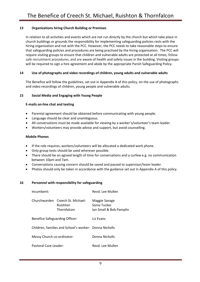#### **13 Organizations hiring Church Building or Premises**

In relation to all activities and events which are not run directly by the church but which take place in church buildings or grounds the responsibility for implementing safeguarding policies rests with the hiring organisation and not with the PCC. However, the PCC needs to take reasonable steps to ensure that safeguarding policies and procedures are being practised by the hiring organisation. The PCC will require visiting groups to ensure that children and vulnerable adults are protected at all times, follow safe recruitment procedures, and are aware of health and safety issues in the building. Visiting groups will be required to sign a hire agreement and abide by the appropriate Parish Safeguarding Policy.

#### **14 Use of photographs and video recordings of children, young adults and vulnerable adults**

The Benefice will follow the guidelines, set out in Appendix A of this policy, on the use of photographs and video recordings of children, young people and vulnerable adults.

#### **15 Social Media and Engaging with Young People**

#### **E-mails on-line chat and texting**

- Parental agreement should be obtained before communicating with young people.
- Language should be clear and unambiguous.
- All conversations must be made available for viewing by a worker's/volunteer's team leader.
- Workers/volunteers may provide advice and support, but avoid counselling.

#### **Mobile Phones**

- If the role requires, workers/volunteers will be allocated a dedicated work phone.
- Only group texts should be used wherever possible.
- There should be an agreed length of time for conversations and a curfew e.g. no communication between 10pm and 7am.
- Conversations causing concern should be saved and passed to supervisor/team leader.
- Photos should only be taken in accordance with the guidance set out in Appendix A of this policy.

#### **16 Personnel with responsibility for safeguarding**

| Incumbent:                                             |                                                             | Revd. Lee Mullen                                         |
|--------------------------------------------------------|-------------------------------------------------------------|----------------------------------------------------------|
|                                                        | Churchwarden Creech St. Michael:<br>Ruishton<br>Thornfalcon | Maggie Savage<br>Sonia Tucker<br>Ian Small & Bob Pamplin |
| Benefice Safeguarding Officer:                         |                                                             | Liz Evans                                                |
| Children, families and School's worker: Donna Nicholls |                                                             |                                                          |
| Messy Church co-ordinator:                             |                                                             | Donna Nicholls                                           |
| Pastoral Care Leader:                                  |                                                             | Revd. Lee Mullen                                         |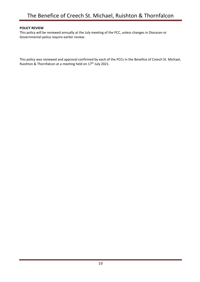#### **POLICY REVIEW**

This policy will be reviewed annually at the July meeting of the PCC, unless changes in Diocesan or Governmental policy require earlier review.

This policy was reviewed and approval confirmed by each of the PCCs in the Benefice of Creech St. Michael, Ruishton & Thornfalcon at a meeting held on 17<sup>th</sup> July 2021.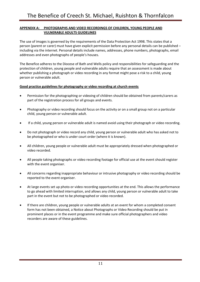#### **APPENDIX A: PHOTOGRAPHS AND VIDEO RECORDINGS OF CHILDREN, YOUNG PEOPLE AND VULNERABLE ADULTS GUIDELINES**

The use of images is governed by the requirements of the Data Protection Act 1998. This states that a person (parent or carer) must have given explicit permission before any personal details can be published – including via the internet. Personal details include names, addresses, phone numbers, photographs, email addresses and even photographs of people's houses.

The Benefice adheres to the Diocese of Bath and Wells policy and responsibilities for safeguarding and the protection of children, young people and vulnerable adults require that an assessment is made about whether publishing a photograph or video recording in any format might pose a risk to a child, young person or vulnerable adult.

#### **Good practice guidelines for photography or video recording at church events**

- Permission for the photographing or videoing of children should be obtained from parents/carers as part of the registration process for all groups and events.
- Photography or video recording should focus on the activity or on a small group not on a particular child, young person or vulnerable adult.
- If a child, young person or vulnerable adult is named avoid using their photograph or video recording.
- Do not photograph or video record any child, young person or vulnerable adult who has asked not to be photographed or who is under court order (where it is known).
- All children, young people or vulnerable adult must be appropriately dressed when photographed or video recorded.
- All people taking photographs or video recording footage for official use at the event should register with the event organiser.
- All concerns regarding inappropriate behaviour or intrusive photography or video recording should be reported to the event organiser.
- At large events set up photo or video recording opportunities at the end. This allows the performance to go ahead with limited interruption, and allows any child, young person or vulnerable adult to take part in the event but not to be photographed or video recorded.
- If there are children, young people or vulnerable adults at an event for whom a completed consent form has not been obtained, a Notice about Photographs or Video Recording should be put in prominent places or in the event programme and make sure official photographers and video recorders are aware of these guidelines.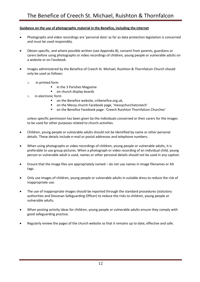#### **Guidance on the use of photographic material in the Benefice, including the internet**

- Photographs and video recordings are 'personal data' as far as data protection legislation is concerned and must be used responsibly.
- Obtain specific, and where possible written (see Appendix B), consent from parents, guardians or carers before using photographs or video recordings of children, young people or vulnerable adults on a website or on Facebook.
- Images administered by the Benefice of Creech St. Michael, Ruishton & Thornfalcon Church should only be used as follows:
	- o in printed form
		- in the 3 Parishes Magazine
		- on church display boards
	- o in electronic form
		- on the Benefice website, crtbenefice.org.uk,
		- on the Messy church Facebook page, 'messychurchatcreech'
		- on the Benefice Facebook page: 'Creech Ruishton Thornfalcon Churches'

unless specific permission has been given by the individuals concerned or their carers for the images to be used for other purposes related to church activities.

- Children, young people or vulnerable adults should not be identified by name or other personal details. These details include e-mail or postal addresses and telephone numbers.
- When using photographs or video recordings of children, young people or vulnerable adults, it is preferable to use group pictures. When a photograph or video recording of an individual child, young person or vulnerable adult is used, names or other personal details should not be used in any caption.
- Ensure that the image files are appropriately named do not use names in image filenames or Alt tags.
- Only use images of children, young people or vulnerable adults in suitable dress to reduce the risk of inappropriate use.
- The use of inappropriate images should be reported through the standard procedures (statutory authorities and Diocesan Safeguarding Officer) to reduce the risks to children, young people or vulnerable adults.
- When posting activity ideas for children, young people or vulnerable adults ensure they comply with good safeguarding practice.
- Regularly review the pages of the church website so that it remains up to date, effective and safe.